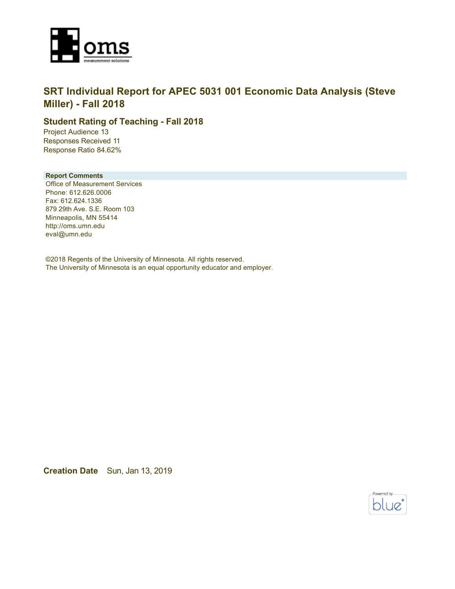

### **SRT Individual Report for APEC 5031 001 Economic Data Analysis (Steve Miller) - Fall 2018**

### **Student Rating of Teaching - Fall 2018**

Project Audience 13 Responses Received 11 Response Ratio 84.62%

### **Report Comments**

Office of Measurement Services Phone: 612.626.0006 Fax: 612.624.1336 879 29th Ave. S.E. Room 103 Minneapolis, MN 55414 http://oms.umn.edu eval@umn.edu

©2018 Regents of the University of Minnesota. All rights reserved. The University of Minnesota is an equal opportunity educator and employer.

**Creation Date** Sun, Jan 13, 2019

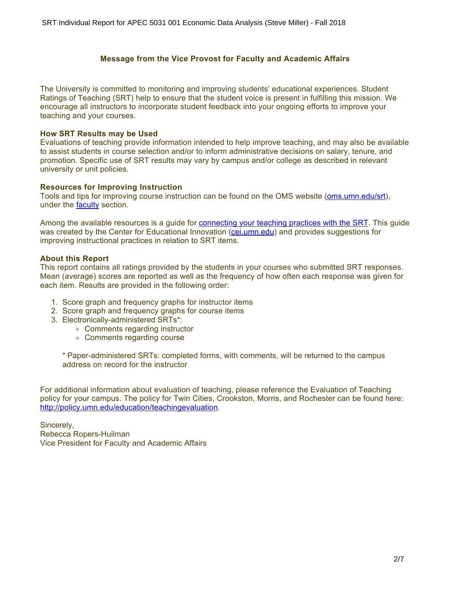### **Message from the Vice Provost for Faculty and Academic Affairs**

The University is committed to monitoring and improving students' educational experiences. Student Ratings of Teaching (SRT) help to ensure that the student voice is present in fulfilling this mission. We encourage all instructors to incorporate student feedback into your ongoing efforts to improve your teaching and your courses.

### **How SRT Results may be Used**

Evaluations of teaching provide information intended to help improve teaching, and may also be available to assist students in course selection and/or to inform administrative decisions on salary, tenure, and promotion. Specific use of SRT results may vary by campus and/or college as described in relevant university or unit policies.

#### **Resources for Improving Instruction**

Tools and tips for improving course instruction can be found on the OMS website [\(oms.umn.edu/srt](https://oms.umn.edu/srt)), under the **faculty** section.

Among the available resources is a guide for [connecting your teaching practices with the SRT.](https://oms.umn.edu/departments/srt/links/SRT%20and%20Teaching.pdf) This guide was created by the Center for Educational Innovation [\(cei.umn.edu](https://cei.umn.edu/)) and provides suggestions for improving instructional practices in relation to SRT items.

#### **About this Report**

This report contains all ratings provided by the students in your courses who submitted SRT responses. Mean (average) scores are reported as well as the frequency of how often each response was given for each item. Results are provided in the following order:

- 1. Score graph and frequency graphs for instructor items
- 2. Score graph and frequency graphs for course items
- 3. Electronically-administered SRTs\*:
	- Comments regarding instructor
	- Comments regarding course

\* Paper-administered SRTs: completed forms, with comments, will be returned to the campus address on record for the instructor

For additional information about evaluation of teaching, please reference the Evaluation of Teaching policy for your campus. The policy for Twin Cities, Crookston, Morris, and Rochester can be found here: <http://policy.umn.edu/education/teachingevaluation>.

Sincerely, Rebecca Ropers-Huilman Vice President for Faculty and Academic Affairs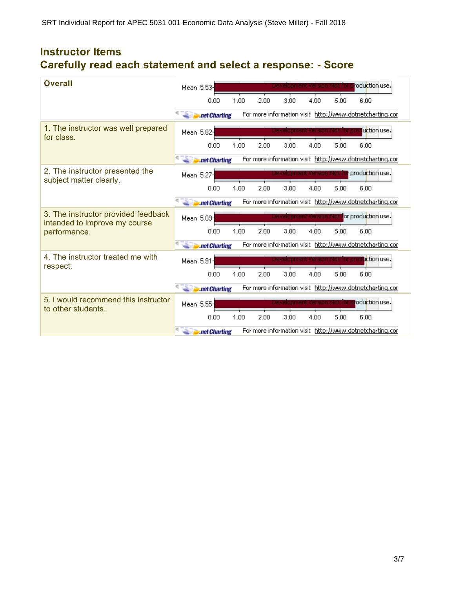# **Instructor Items Carefully read each statement and select a response: - Score**

| <b>Overall</b>                                                       | oduction use.<br>Mean 5.53-                                               |
|----------------------------------------------------------------------|---------------------------------------------------------------------------|
|                                                                      | 1.00<br>2.00<br>5.00<br>6.00<br>0.00<br>3.00<br>4.00                      |
|                                                                      | For more information visit http://www.dotnetcharting.cor<br>.net Charting |
| 1. The instructor was well prepared<br>for class.                    | luction use.<br>Mean 5.82-                                                |
|                                                                      | 1.00<br>2.00<br>3.00<br>5.00<br>0.00<br>4.00<br>6.00                      |
|                                                                      | For more information visit http://www.dotnetcharting.cor<br>.net Charting |
| 2. The instructor presented the<br>subject matter clearly.           | production use.<br>Mean 5.27-                                             |
|                                                                      | 1.00<br>2.00<br>3.00<br>4.00<br>5.00<br>0.00<br>6.00                      |
|                                                                      | For more information visit http://www.dotnetcharting.cor<br>.net Charting |
| 3. The instructor provided feedback<br>intended to improve my course | or production use.<br>Mean 5.09-                                          |
| performance.                                                         | 0.00<br>1.00<br>2.00<br>3.00<br>4.00<br>5.00<br>6.00                      |
|                                                                      | For more information visit http://www.dotnetcharting.cor<br>.net Charting |
| 4. The instructor treated me with<br>respect.                        | Liction use.<br>Mean 5.91-                                                |
|                                                                      | 3.00<br>1.00<br>2.00<br>4.00<br>5.00<br>6.00<br>0.00                      |
|                                                                      | For more information visit http://www.dotnetcharting.cor<br>.net Charting |
| 5. I would recommend this instructor<br>to other students.           | oduction use.<br>Mean 5.55-                                               |
|                                                                      | 1.00<br>2.00<br>3.00<br>5.00<br>0.00<br>4.00<br>6.00                      |
|                                                                      | For more information visit http://www.dotnetcharting.cor<br>.net Charting |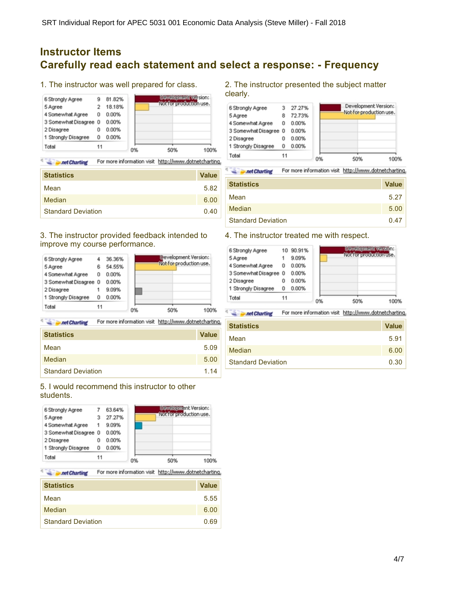## **Instructor Items Carefully read each statement and select a response: - Frequency**

τ

1. The instructor was well prepared for class.



115 For more information visit http://www.dotnetcharting. **Date:** Charting

| <b>Statistics</b>         | <b>Value</b> |
|---------------------------|--------------|
| Mean                      | 5.82         |
| Median                    | 6.00         |
| <b>Standard Deviation</b> | 0.40         |

### 3. The instructor provided feedback intended to improve my course performance.



**Second Charting** For more information visit http://www.dotnetcharting.

| <b>Statistics</b>         | <b>Value</b> |
|---------------------------|--------------|
| Mean                      | 5.09         |
| <b>Median</b>             | 5.00         |
| <b>Standard Deviation</b> | 1.14         |

### 5. I would recommend this instructor to other students.

| 1 Strongly Disagree<br>Total        | O<br>11 | 0.00%            |                                                           |
|-------------------------------------|---------|------------------|-----------------------------------------------------------|
| 3 Somewhat Disagree 0<br>2 Disagree | 0       | 0.00%<br>0.00%   |                                                           |
| 4 Somewhat Agree                    | 1       | 9.09%            |                                                           |
| 6 Strongly Agree<br>5 Agree         |         | 63.64%<br>27.27% | <b>DEWEITERTEIN</b> : Version:<br>Not for production use. |

For more information visit http://www.dotnetcharting. **Sales Linet Charting** 

| <b>Statistics</b>         | <b>Value</b> |
|---------------------------|--------------|
| Mean                      | 5.55         |
| Median                    | 6.00         |
| <b>Standard Deviation</b> | 0.69         |

#### 2. The instructor presented the subject matter clearly.



For more information visit http://www.dotnetcharting. **All Prince Charting** 

| <b>Statistics</b>         | <b>Value</b> |
|---------------------------|--------------|
| Mean                      | 5.27         |
| Median                    | 5.00         |
| <b>Standard Deviation</b> | 0.47         |

### 4. The instructor treated me with respect.

| 6 Strongly Agree      |    | 10 90.91% |    | <b>Cewabremark warsions</b> |
|-----------------------|----|-----------|----|-----------------------------|
| 5 Agree               |    | 9.09%     |    | Not for production use.     |
| 4 Somewhat Agree      | 0  | 0.00%     |    |                             |
| 3 Somewhat Disagree 0 |    | 0.00%     |    |                             |
| 2 Disagree            | 0  | 0.00%     |    |                             |
| 1 Strongly Disagree   | O  | 0.00%     |    |                             |
| Total                 | 11 |           | 0% | 50%<br>100                  |

For more information visit http://www.dotnetcharting. **Date Charting** 

| <b>Statistics</b>         | <b>Value</b> |
|---------------------------|--------------|
| Mean                      | 5.91         |
| Median                    | 6.00         |
| <b>Standard Deviation</b> | 0.30         |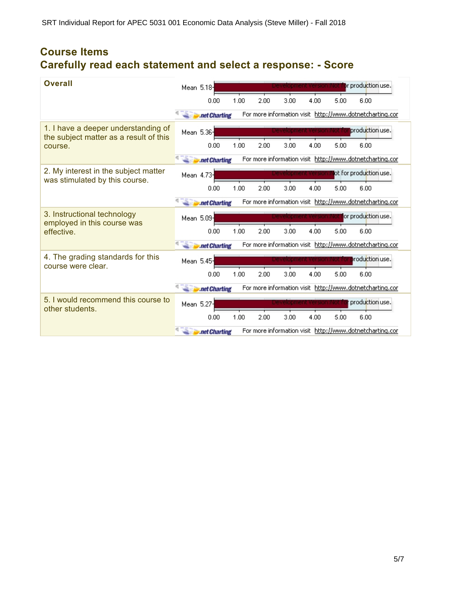# **Course Items Carefully read each statement and select a response: - Score**

| <b>Overall</b>                                                                | Mean 5.18- |               |      |      |      |                             |      | or production use.                                       |
|-------------------------------------------------------------------------------|------------|---------------|------|------|------|-----------------------------|------|----------------------------------------------------------|
|                                                                               |            | 0.00          | 1.00 | 2.00 | 3.00 | 4.00                        | 5.00 | 6.00                                                     |
|                                                                               |            | .net Charting |      |      |      |                             |      | For more information visit http://www.dotnetcharting.cor |
| 1. I have a deeper understanding of<br>the subject matter as a result of this | Mean 5.36- |               |      |      |      |                             |      | production use.                                          |
| course.                                                                       |            | 0.00          | 1.00 | 2.00 | 3.00 | 4.00                        | 5.00 | 6.00                                                     |
|                                                                               |            | .net Charting |      |      |      |                             |      | For more information visit http://www.dotnetcharting.cor |
| 2. My interest in the subject matter<br>was stimulated by this course.        | Mean 4.73  |               |      |      |      | vevelopment ve <u>rsion</u> |      | ot for production use.                                   |
|                                                                               |            | 0.00          | 1.00 | 2.00 | 3.00 | 4.00                        | 5.00 | 6.00                                                     |
|                                                                               |            | .net Charting |      |      |      |                             |      | For more information visit http://www.dotnetcharting.cor |
| 3. Instructional technology<br>employed in this course was                    | Mean 5.09  |               |      |      |      |                             |      | or production use.                                       |
| effective.                                                                    |            | 0.00          | 1.00 | 2.00 | 3.00 | 4.00                        | 5.00 | 6.00                                                     |
|                                                                               |            | .net Charting |      |      |      |                             |      | For more information visit http://www.dotnetcharting.cor |
| 4. The grading standards for this<br>course were clear.                       | Mean 5.45- |               |      |      |      |                             |      | roduction use.                                           |
|                                                                               |            | 0.00          | 1.00 | 2.00 | 3.00 | 4.00                        | 5.00 | 6.00                                                     |
|                                                                               |            | .net Charting |      |      |      |                             |      | For more information visit http://www.dotnetcharting.cor |
| 5. I would recommend this course to<br>other students.                        | Mean 5.27- |               |      |      |      |                             |      | production use.                                          |
|                                                                               |            | 0.00          | 1.00 | 2.00 | 3.00 | 4.00                        | 5.00 | 6.00                                                     |
|                                                                               |            | .net Charting |      |      |      |                             |      | For more information visit http://www.dotnetcharting.cor |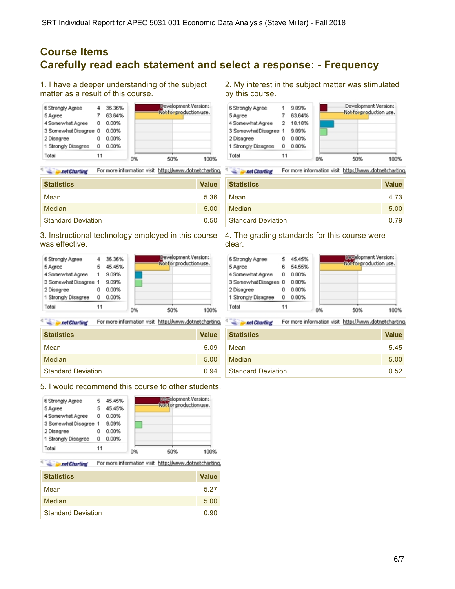## **Course Items Carefully read each statement and select a response: - Frequency**

 $\tau_1^*$ 

 $\tau_1$ 

1. I have a deeper understanding of the subject matter as a result of this course.



**Second Charting** For more information visit http://www.dotnetcharting.

| <b>Statistics</b>         | <b>Value</b> |
|---------------------------|--------------|
| Mean                      | 5.36         |
| Median                    | 5.00         |
| <b>Standard Deviation</b> | 0.50         |

3. Instructional technology employed in this course was effective.



**Second Charting** For more information visit http://www.dotnetcharting.

| <b>Statistics</b>         | <b>Value</b> |
|---------------------------|--------------|
| Mean                      | 5.09         |
| Median                    | 5.00         |
| <b>Standard Deviation</b> | 0.94         |

5. I would recommend this course to other students.

| Total                 | 11 |        | 0% | 50%<br>100%                                            |
|-----------------------|----|--------|----|--------------------------------------------------------|
| 1 Strongly Disagree   | Ū  | 0.00%  |    |                                                        |
| 2 Disagree            | Ū  | 0.00%  |    |                                                        |
| 3 Somewhat Disagree 1 |    | 9.09%  |    |                                                        |
| 4 Somewhat Agree      | 0  | 0.00%  |    |                                                        |
| 5 Agree               | 5  | 45.45% |    |                                                        |
| 6 Strongly Agree      |    | 45.45% |    | <b>DEXelopment Version:</b><br>Not for production use. |

**Separate Charting** For more information visit http://www.dotnetcharting.

| <b>Statistics</b>         | <b>Value</b> |
|---------------------------|--------------|
| Mean                      | 5.27         |
| Median                    | 5.00         |
| <b>Standard Deviation</b> | 0.90         |

2. My interest in the subject matter was stimulated by this course.



**Second Charting** For more information visit http://www.dotnetcharting.

| <b>Statistics</b>         | <b>Value</b> |
|---------------------------|--------------|
| Mean                      | 4.73         |
| Median                    | 5.00         |
| <b>Standard Deviation</b> | 0.79         |

4. The grading standards for this course were clear.



For more information visit http://www.dotnetcharting. **Sales Line Charting** 

| <b>Statistics</b>         | <b>Value</b> |
|---------------------------|--------------|
| Mean                      | 5.45         |
| Median                    | 5.00         |
| <b>Standard Deviation</b> | 0.52         |